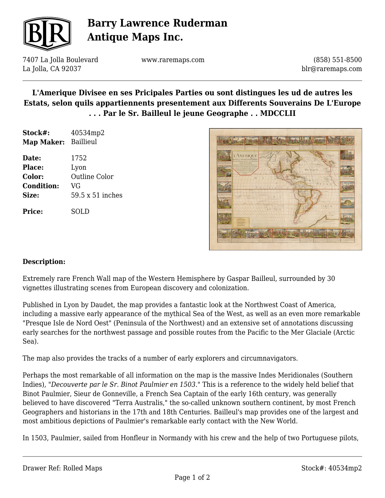

# **Barry Lawrence Ruderman Antique Maps Inc.**

7407 La Jolla Boulevard La Jolla, CA 92037

www.raremaps.com

(858) 551-8500 blr@raremaps.com

## **L'Amerique Divisee en ses Pricipales Parties ou sont distingues les ud de autres les Estats, selon quils appartiennents presentement aux Differents Souverains De L'Europe . . . Par le Sr. Bailleul le jeune Geographe . . MDCCLII**

| Stock#:<br>Map Maker: | 40534mp2<br><b>Baillieul</b> |
|-----------------------|------------------------------|
|                       |                              |
| Date:                 | 1752                         |
| Place:                | Lyon                         |
| Color:                | Outline Color                |
| <b>Condition:</b>     | VG                           |
| Size:                 | 59.5 x 51 inches             |
| <b>Price:</b>         | SOLD                         |
|                       |                              |



#### **Description:**

Extremely rare French Wall map of the Western Hemisphere by Gaspar Bailleul, surrounded by 30 vignettes illustrating scenes from European discovery and colonization.

Published in Lyon by Daudet, the map provides a fantastic look at the Northwest Coast of America, including a massive early appearance of the mythical Sea of the West, as well as an even more remarkable "Presque Isle de Nord Oest" (Peninsula of the Northwest) and an extensive set of annotations discussing early searches for the northwest passage and possible routes from the Pacific to the Mer Glaciale (Arctic Sea).

The map also provides the tracks of a number of early explorers and circumnavigators.

Perhaps the most remarkable of all information on the map is the massive Indes Meridionales (Southern Indies), *"Decouverte par le Sr. Binot Paulmier en 1503."* This is a reference to the widely held belief that Binot Paulmier, Sieur de Gonneville, a French Sea Captain of the early 16th century, was generally believed to have discovered "Terra Australis," the so-called unknown southern continent, by most French Geographers and historians in the 17th and 18th Centuries. Bailleul's map provides one of the largest and most ambitious depictions of Paulmier's remarkable early contact with the New World.

In 1503, Paulmier, sailed from Honfleur in Normandy with his crew and the help of two Portuguese pilots,